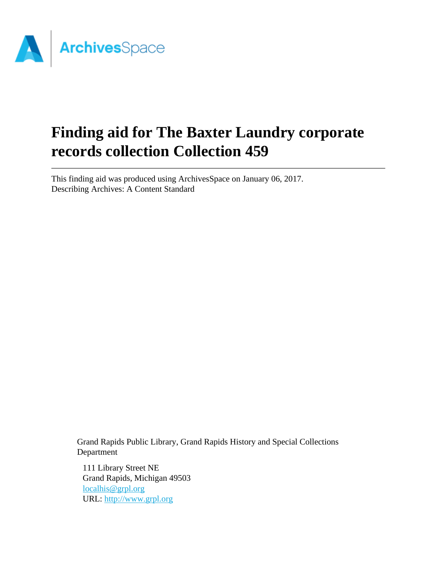

# **Finding aid for The Baxter Laundry corporate records collection Collection 459**

This finding aid was produced using ArchivesSpace on January 06, 2017. Describing Archives: A Content Standard

> Grand Rapids Public Library, Grand Rapids History and Special Collections Department

111 Library Street NE Grand Rapids, Michigan 49503 [localhis@grpl.org](mailto:localhis@grpl.org) URL:<http://www.grpl.org>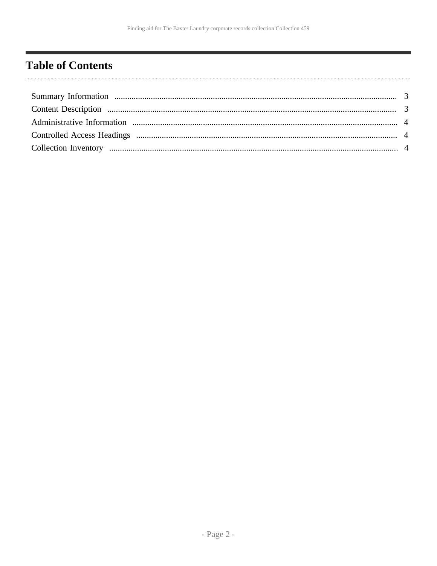# <span id="page-1-0"></span>**Table of Contents**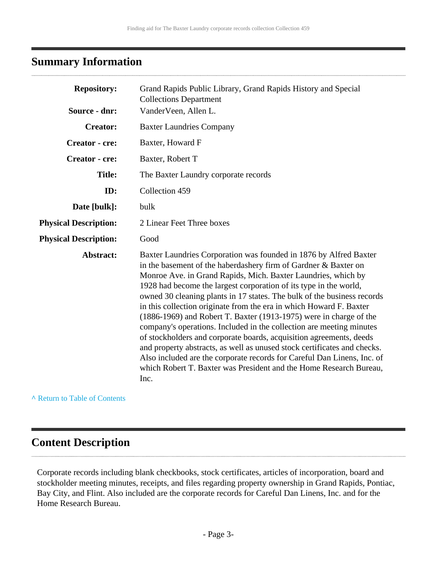# <span id="page-2-0"></span>**Summary Information**

| <b>Repository:</b>           | Grand Rapids Public Library, Grand Rapids History and Special<br><b>Collections Department</b>                                                                                                                                                                                                                                                                                                                                                                                                                                                                                                                                                                                                                                                                                                                                                                                             |  |  |  |
|------------------------------|--------------------------------------------------------------------------------------------------------------------------------------------------------------------------------------------------------------------------------------------------------------------------------------------------------------------------------------------------------------------------------------------------------------------------------------------------------------------------------------------------------------------------------------------------------------------------------------------------------------------------------------------------------------------------------------------------------------------------------------------------------------------------------------------------------------------------------------------------------------------------------------------|--|--|--|
| Source - dnr:                | VanderVeen, Allen L.                                                                                                                                                                                                                                                                                                                                                                                                                                                                                                                                                                                                                                                                                                                                                                                                                                                                       |  |  |  |
| <b>Creator:</b>              | <b>Baxter Laundries Company</b>                                                                                                                                                                                                                                                                                                                                                                                                                                                                                                                                                                                                                                                                                                                                                                                                                                                            |  |  |  |
| <b>Creator</b> - cre:        | Baxter, Howard F                                                                                                                                                                                                                                                                                                                                                                                                                                                                                                                                                                                                                                                                                                                                                                                                                                                                           |  |  |  |
| <b>Creator</b> - cre:        | Baxter, Robert T                                                                                                                                                                                                                                                                                                                                                                                                                                                                                                                                                                                                                                                                                                                                                                                                                                                                           |  |  |  |
| <b>Title:</b>                | The Baxter Laundry corporate records                                                                                                                                                                                                                                                                                                                                                                                                                                                                                                                                                                                                                                                                                                                                                                                                                                                       |  |  |  |
| ID:                          | Collection 459                                                                                                                                                                                                                                                                                                                                                                                                                                                                                                                                                                                                                                                                                                                                                                                                                                                                             |  |  |  |
| Date [bulk]:                 | bulk                                                                                                                                                                                                                                                                                                                                                                                                                                                                                                                                                                                                                                                                                                                                                                                                                                                                                       |  |  |  |
| <b>Physical Description:</b> | 2 Linear Feet Three boxes                                                                                                                                                                                                                                                                                                                                                                                                                                                                                                                                                                                                                                                                                                                                                                                                                                                                  |  |  |  |
| <b>Physical Description:</b> | Good                                                                                                                                                                                                                                                                                                                                                                                                                                                                                                                                                                                                                                                                                                                                                                                                                                                                                       |  |  |  |
| Abstract:                    | Baxter Laundries Corporation was founded in 1876 by Alfred Baxter<br>in the basement of the haberdashery firm of Gardner & Baxter on<br>Monroe Ave. in Grand Rapids, Mich. Baxter Laundries, which by<br>1928 had become the largest corporation of its type in the world,<br>owned 30 cleaning plants in 17 states. The bulk of the business records<br>in this collection originate from the era in which Howard F. Baxter<br>$(1886-1969)$ and Robert T. Baxter $(1913-1975)$ were in charge of the<br>company's operations. Included in the collection are meeting minutes<br>of stockholders and corporate boards, acquisition agreements, deeds<br>and property abstracts, as well as unused stock certificates and checks.<br>Also included are the corporate records for Careful Dan Linens, Inc. of<br>which Robert T. Baxter was President and the Home Research Bureau,<br>Inc. |  |  |  |

**^** [Return to Table of Contents](#page-1-0)

# <span id="page-2-1"></span>**Content Description**

Corporate records including blank checkbooks, stock certificates, articles of incorporation, board and stockholder meeting minutes, receipts, and files regarding property ownership in Grand Rapids, Pontiac, Bay City, and Flint. Also included are the corporate records for Careful Dan Linens, Inc. and for the Home Research Bureau.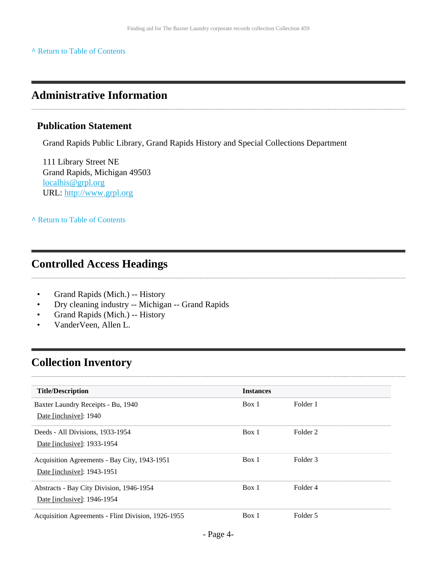#### **^** [Return to Table of Contents](#page-1-0)

### <span id="page-3-0"></span>**Administrative Information**

#### **Publication Statement**

Grand Rapids Public Library, Grand Rapids History and Special Collections Department

111 Library Street NE Grand Rapids, Michigan 49503 [localhis@grpl.org](mailto:localhis@grpl.org) URL:<http://www.grpl.org>

**^** [Return to Table of Contents](#page-1-0)

### <span id="page-3-1"></span>**Controlled Access Headings**

- Grand Rapids (Mich.) -- History
- Dry cleaning industry -- Michigan -- Grand Rapids
- Grand Rapids (Mich.) -- History
- VanderVeen, Allen L.

# <span id="page-3-2"></span>**Collection Inventory**

| <b>Title/Description</b>                           | <b>Instances</b> |          |  |
|----------------------------------------------------|------------------|----------|--|
| Baxter Laundry Receipts - Bu, 1940                 | Box 1            | Folder 1 |  |
| Date [inclusive]: 1940                             |                  |          |  |
| Deeds - All Divisions, 1933-1954                   | Box 1            | Folder 2 |  |
| Date [inclusive]: 1933-1954                        |                  |          |  |
| Acquisition Agreements - Bay City, 1943-1951       | Box 1            | Folder 3 |  |
| Date [inclusive]: 1943-1951                        |                  |          |  |
| Abstracts - Bay City Division, 1946-1954           | Box 1            | Folder 4 |  |
| Date [inclusive]: 1946-1954                        |                  |          |  |
| Acquisition Agreements - Flint Division, 1926-1955 | Box 1            | Folder 5 |  |